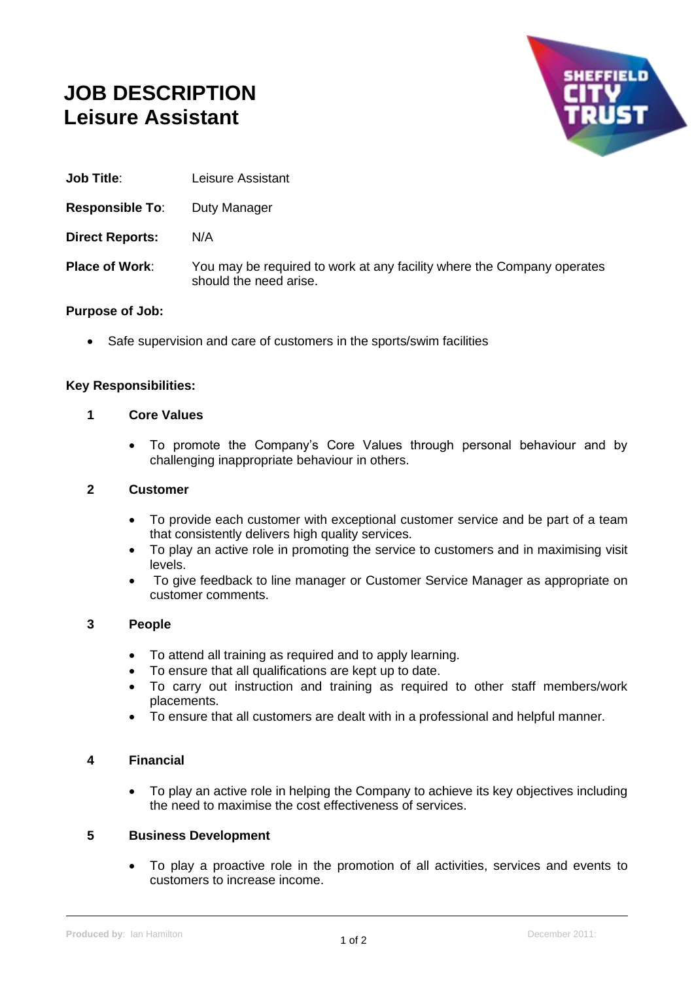# **JOB DESCRIPTION Leisure Assistant**



- **Job Title**: Leisure Assistant
- **Responsible To:** Duty Manager
- **Direct Reports:** N/A
- **Place of Work:** You may be required to work at any facility where the Company operates should the need arise.

#### **Purpose of Job:**

• Safe supervision and care of customers in the sports/swim facilities

#### **Key Responsibilities:**

#### **1 Core Values**

• To promote the Company's Core Values through personal behaviour and by challenging inappropriate behaviour in others.

#### **2 Customer**

- To provide each customer with exceptional customer service and be part of a team that consistently delivers high quality services.
- To play an active role in promoting the service to customers and in maximising visit levels.
- To give feedback to line manager or Customer Service Manager as appropriate on customer comments.

#### **3 People**

- To attend all training as required and to apply learning.
- To ensure that all qualifications are kept up to date.
- To carry out instruction and training as required to other staff members/work placements.
- To ensure that all customers are dealt with in a professional and helpful manner.

## **4 Financial**

• To play an active role in helping the Company to achieve its key objectives including the need to maximise the cost effectiveness of services.

#### **5 Business Development**

• To play a proactive role in the promotion of all activities, services and events to customers to increase income.